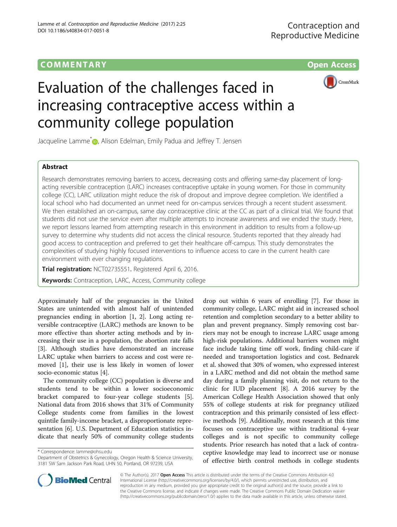# COMM EN TARY Open Access



# Evaluation of the challenges faced in increasing contraceptive access within a community college population

Jacqueline Lamme<sup>\*</sup> <sub>(D</sub>[,](http://orcid.org/0000-0001-6679-4526) Alison Edelman, Emily Padua and Jeffrey T. Jensen

# Abstract

Research demonstrates removing barriers to access, decreasing costs and offering same-day placement of longacting reversible contraception (LARC) increases contraceptive uptake in young women. For those in community college (CC), LARC utilization might reduce the risk of dropout and improve degree completion. We identified a local school who had documented an unmet need for on-campus services through a recent student assessment. We then established an on-campus, same day contraceptive clinic at the CC as part of a clinical trial. We found that students did not use the service even after multiple attempts to increase awareness and we ended the study. Here, we report lessons learned from attempting research in this environment in addition to results from a follow-up survey to determine why students did not access the clinical resource. Students reported that they already had good access to contraception and preferred to get their healthcare off-campus. This study demonstrates the complexities of studying highly focused interventions to influence access to care in the current health care environment with ever changing regulations.

Trial registration: [NCT02735551](https://clinicaltrials.gov/ct2/show/NCT02735551). Registered April 6, 2016.

Keywords: Contraception, LARC, Access, Community college

Approximately half of the pregnancies in the United States are unintended with almost half of unintended pregnancies ending in abortion [\[1](#page-3-0), [2](#page-3-0)]. Long acting reversible contraceptive (LARC) methods are known to be more effective than shorter acting methods and by increasing their use in a population, the abortion rate falls [[3\]](#page-3-0). Although studies have demonstrated an increase LARC uptake when barriers to access and cost were removed [\[1](#page-3-0)], their use is less likely in women of lower socio-economic status [[4\]](#page-3-0).

The community college (CC) population is diverse and students tend to be within a lower socioeconomic bracket compared to four-year college students [\[5](#page-3-0)]. National data from 2016 shows that 31% of Community College students come from families in the lowest quintile family-income bracket, a disproportionate representation [\[6](#page-3-0)]. U.S. Department of Education statistics indicate that nearly 50% of community college students

\* Correspondence: [lamme@ohsu.edu](mailto:lamme@ohsu.edu)

Department of Obstetrics & Gynecology, Oregon Health & Science University, 3181 SW Sam Jackson Park Road, UHN 50, Portland, OR 97239, USA

drop out within 6 years of enrolling [\[7](#page-3-0)]. For those in community college, LARC might aid in increased school retention and completion secondary to a better ability to plan and prevent pregnancy. Simply removing cost barriers may not be enough to increase LARC usage among high-risk populations. Additional barriers women might face include taking time off work, finding child-care if needed and transportation logistics and cost. Bednarek et al. showed that 30% of women, who expressed interest in a LARC method and did not obtain the method same day during a family planning visit, do not return to the clinic for IUD placement [\[8](#page-3-0)]. A 2016 survey by the American College Health Association showed that only 55% of college students at risk for pregnancy utilized contraception and this primarily consisted of less effective methods [\[9](#page-3-0)]. Additionally, most research at this time focuses on contraceptive use within traditional 4-year colleges and is not specific to community college students. Prior research has noted that a lack of contraceptive knowledge may lead to incorrect use or nonuse of effective birth control methods in college students



© The Author(s). 2017 **Open Access** This article is distributed under the terms of the Creative Commons Attribution 4.0 International License [\(http://creativecommons.org/licenses/by/4.0/](http://creativecommons.org/licenses/by/4.0/)), which permits unrestricted use, distribution, and reproduction in any medium, provided you give appropriate credit to the original author(s) and the source, provide a link to the Creative Commons license, and indicate if changes were made. The Creative Commons Public Domain Dedication waiver [\(http://creativecommons.org/publicdomain/zero/1.0/](http://creativecommons.org/publicdomain/zero/1.0/)) applies to the data made available in this article, unless otherwise stated.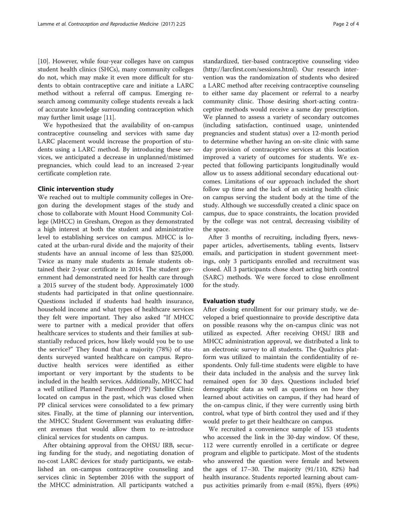[[10\]](#page-3-0). However, while four-year colleges have on campus student health clinics (SHCs), many community colleges do not, which may make it even more difficult for students to obtain contraceptive care and initiate a LARC method without a referral off campus. Emerging research among community college students reveals a lack of accurate knowledge surrounding contraception which may further limit usage [[11](#page-3-0)].

We hypothesized that the availability of on-campus contraceptive counseling and services with same day LARC placement would increase the proportion of students using a LARC method. By introducing these services, we anticipated a decrease in unplanned/mistimed pregnancies, which could lead to an increased 2-year certificate completion rate.

#### Clinic intervention study

We reached out to multiple community colleges in Oregon during the development stages of the study and chose to collaborate with Mount Hood Community College (MHCC) in Gresham, Oregon as they demonstrated a high interest at both the student and administrative level to establishing services on campus. MHCC is located at the urban-rural divide and the majority of their students have an annual income of less than \$25,000. Twice as many male students as female students obtained their 2-year certificate in 2014. The student government had demonstrated need for health care through a 2015 survey of the student body. Approximately 1000 students had participated in that online questionnaire. Questions included if students had health insurance, household income and what types of healthcare services they felt were important. They also asked "If MHCC were to partner with a medical provider that offers healthcare services to students and their families at substantially reduced prices, how likely would you be to use the service?" They found that a majority (78%) of students surveyed wanted healthcare on campus. Reproductive health services were identified as either important or very important by the students to be included in the health services. Additionally, MHCC had a well utilized Planned Parenthood (PP) Satellite Clinic located on campus in the past, which was closed when PP clinical services were consolidated to a few primary sites. Finally, at the time of planning our intervention, the MHCC Student Government was evaluating different avenues that would allow them to re-introduce clinical services for students on campus.

After obtaining approval from the OHSU IRB, securing funding for the study, and negotiating donation of no-cost LARC devices for study participants, we established an on-campus contraceptive counseling and services clinic in September 2016 with the support of the MHCC administration. All participants watched a

standardized, tier-based contraceptive counseling video ([http://larcfirst.com/sessions.html\).](http://larcfirst.com/sessions.html)) Our research intervention was the randomization of students who desired a LARC method after receiving contraceptive counseling to either same day placement or referral to a nearby community clinic. Those desiring short-acting contraceptive methods would receive a same day prescription. We planned to assess a variety of secondary outcomes (including satisfaction, continued usage, unintended pregnancies and student status) over a 12-month period to determine whether having an on-site clinic with same day provision of contraceptive services at this location improved a variety of outcomes for students. We expected that following participants longitudinally would allow us to assess additional secondary educational outcomes. Limitations of our approach included the short follow up time and the lack of an existing health clinic on campus serving the student body at the time of the study. Although we successfully created a clinic space on campus, due to space constraints, the location provided by the college was not central, decreasing visibility of the space.

After 3 months of recruiting, including flyers, newspaper articles, advertisements, tabling events, listserv emails, and participation in student government meetings, only 3 participants enrolled and recruitment was closed. All 3 participants chose short acting birth control (SARC) methods. We were forced to close enrollment for the study.

# Evaluation study

After closing enrollment for our primary study, we developed a brief questionnaire to provide descriptive data on possible reasons why the on-campus clinic was not utilized as expected. After receiving OHSU IRB and MHCC administration approval, we distributed a link to an electronic survey to all students. The Qualtrics platform was utilized to maintain the confidentiality of respondents. Only full-time students were eligible to have their data included in the analysis and the survey link remained open for 30 days. Questions included brief demographic data as well as questions on how they learned about activities on campus, if they had heard of the on-campus clinic, if they were currently using birth control, what type of birth control they used and if they would prefer to get their healthcare on campus.

We recruited a convenience sample of 153 students who accessed the link in the 30-day window. Of these, 112 were currently enrolled in a certificate or degree program and eligible to participate. Most of the students who answered the question were female and between the ages of 17–30. The majority (91/110, 82%) had health insurance. Students reported learning about campus activities primarily from e-mail (85%), flyers (49%)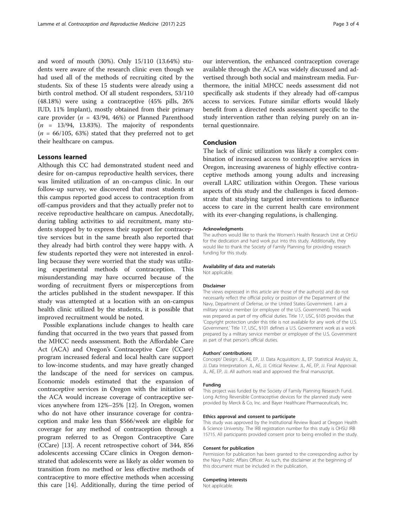and word of mouth (30%). Only 15/110 (13.64%) students were aware of the research clinic even though we had used all of the methods of recruiting cited by the students. Six of these 15 students were already using a birth control method. Of all student responders, 53/110 (48.18%) were using a contraceptive (45% pills, 26% IUD, 11% Implant), mostly obtained from their primary care provider ( $n = 43/94$ , 46%) or Planned Parenthood  $(n = 13/94, 13.83\%).$  The majority of respondents  $(n = 66/105, 63%)$  stated that they preferred not to get their healthcare on campus.

### Lessons learned

Although this CC had demonstrated student need and desire for on-campus reproductive health services, there was limited utilization of an on-campus clinic. In our follow-up survey, we discovered that most students at this campus reported good access to contraception from off-campus providers and that they actually prefer not to receive reproductive healthcare on campus. Anecdotally, during tabling activities to aid recruitment, many students stopped by to express their support for contraceptive services but in the same breath also reported that they already had birth control they were happy with. A few students reported they were not interested in enrolling because they were worried that the study was utilizing experimental methods of contraception. This misunderstanding may have occurred because of the wording of recruitment flyers or misperceptions from the articles published in the student newspaper. If this study was attempted at a location with an on-campus health clinic utilized by the students, it is possible that improved recruitment would be noted.

Possible explanations include changes to health care funding that occurred in the two years that passed from the MHCC needs assessment. Both the Affordable Care Act (ACA) and Oregon's Contraceptive Care (CCare) program increased federal and local health care support to low-income students, and may have greatly changed the landscape of the need for services on campus. Economic models estimated that the expansion of contraceptive services in Oregon with the initiation of the ACA would increase coverage of contraceptive services anywhere from 12%–25% [\[12](#page-3-0)]. In Oregon, women who do not have other insurance coverage for contraception and make less than \$566/week are eligible for coverage for any method of contraception through a program referred to as Oregon Contraceptive Care (CCare) [[13\]](#page-3-0). A recent retrospective cohort of 344, 856 adolescents accessing CCare clinics in Oregon demonstrated that adolescents were as likely as older women to transition from no method or less effective methods of contraceptive to more effective methods when accessing this care [\[14](#page-3-0)]. Additionally, during the time period of

our intervention, the enhanced contraception coverage available through the ACA was widely discussed and advertised through both social and mainstream media. Furthermore, the initial MHCC needs assessment did not specifically ask students if they already had off-campus access to services. Future similar efforts would likely benefit from a directed needs assessment specific to the study intervention rather than relying purely on an internal questionnaire.

#### Conclusion

The lack of clinic utilization was likely a complex combination of increased access to contraceptive services in Oregon, increasing awareness of highly effective contraceptive methods among young adults and increasing overall LARC utilization within Oregon. These various aspects of this study and the challenges is faced demonstrate that studying targeted interventions to influence access to care in the current health care environment with its ever-changing regulations, is challenging.

#### Acknowledgments

The authors would like to thank the Women's Health Research Unit at OHSU for the dedication and hard work put into this study. Additionally, they would like to thank the Society of Family Planning for providing research funding for this study.

#### Availability of data and materials

Not applicable.

#### Disclaimer

The views expressed in this article are those of the author(s) and do not necessarily reflect the official policy or position of the Department of the Navy, Department of Defense, or the United States Government. I am a military service member (or employee of the U.S. Government). This work was prepared as part of my official duties. Title 17, USC, §105 provides that 'Copyright protection under this title is not available for any work of the U.S. Government.' Title 17, USC, §101 defines a U.S. Government work as a work prepared by a military service member or employee of the U.S. Government as part of that person's official duties.

#### Authors' contributions

Concept/ Design: JL, AE, EP, JJ. Data Acquisition: JL, EP. Statistical Analysis: JL, JJ. Data Interpretation: JL, AE, JJ. Critical Review: JL, AE, EP, JJ. Final Approval: JL, AE, EP, JJ. All authors read and approved the final manuscript.

#### Funding

This project was funded by the Society of Family Planning Research Fund. Long Acting Reversible Contraceptive devices for the planned study were provided by Merck & Co, Inc. and Bayer Healthcare Pharmaceuticals, Inc.

#### Ethics approval and consent to participate

This study was approved by the Institutional Review Board at Oregon Health & Science University. The IRB registration number for this study is OHSU IRB 15715. All participants provided consent prior to being enrolled in the study.

#### Consent for publication

Permission for publication has been granted to the corresponding author by the Navy Public Affairs Officer. As such, the disclaimer at the beginning of this document must be included in the publication.

#### Competing interests

Not applicable.